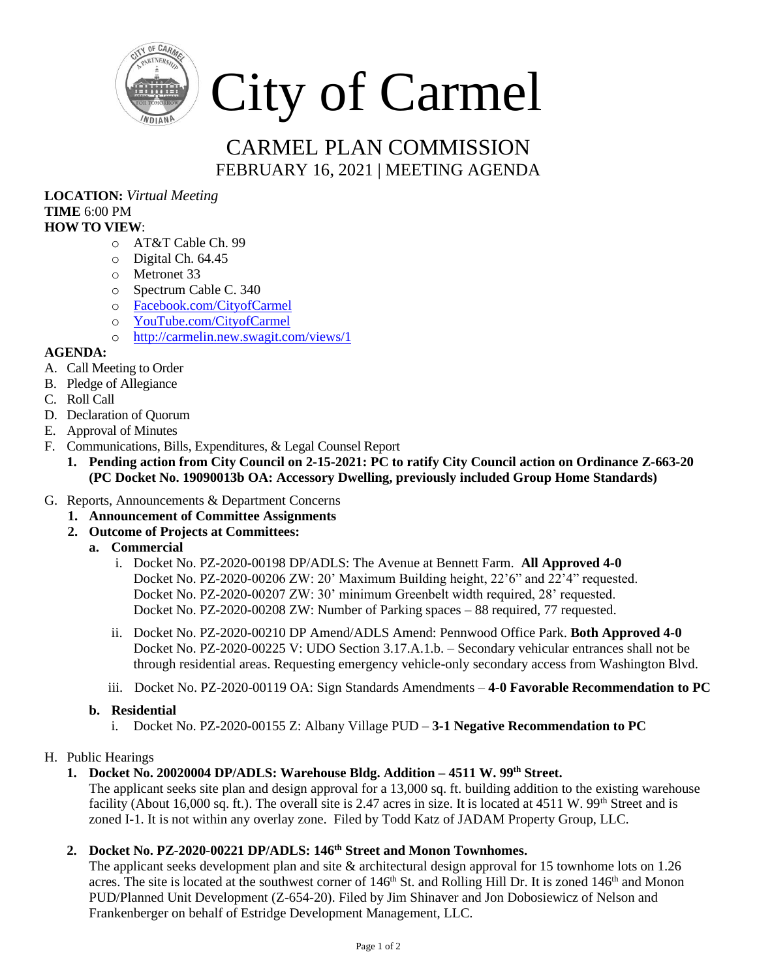

# CARMEL PLAN COMMISSION FEBRUARY 16, 2021 | MEETING AGENDA

**LOCATION:** *Virtual Meeting* **TIME** 6:00 PM **HOW TO VIEW**:

- o AT&T Cable Ch. 99
- o Digital Ch. 64.45
- o Metronet 33
- o Spectrum Cable C. 340
- o [Facebook.com/CityofCarmel](https://www.facebook.com/CityofCarmel/)
- o [YouTube.com/CityofCarmel](https://www.youtube.com/channel/UCehYsbi2i8jGvjkmE9cSPmg)
- o <http://carmelin.new.swagit.com/views/1>

## **AGENDA:**

- A. Call Meeting to Order
- B. Pledge of Allegiance
- C. Roll Call
- D. Declaration of Quorum
- E. Approval of Minutes
- F. Communications, Bills, Expenditures, & Legal Counsel Report
	- **1. Pending action from City Council on 2-15-2021: PC to ratify City Council action on Ordinance Z-663-20 (PC Docket No. 19090013b OA: Accessory Dwelling, previously included Group Home Standards)**
- G. Reports, Announcements & Department Concerns
	- **1. Announcement of Committee Assignments**
	- **2. Outcome of Projects at Committees:**
		- **a. Commercial** 
			- i. Docket No. PZ-2020-00198 DP/ADLS: The Avenue at Bennett Farm. **All Approved 4-0** Docket No. PZ-2020-00206 ZW: 20' Maximum Building height, 22'6" and 22'4" requested. Docket No. PZ-2020-00207 ZW: 30' minimum Greenbelt width required, 28' requested. Docket No. PZ-2020-00208 ZW: Number of Parking spaces – 88 required, 77 requested.
			- ii. Docket No. PZ-2020-00210 DP Amend/ADLS Amend: Pennwood Office Park. **Both Approved 4-0** Docket No. PZ-2020-00225 V: UDO Section 3.17.A.1.b. – Secondary vehicular entrances shall not be through residential areas. Requesting emergency vehicle-only secondary access from Washington Blvd.
			- iii. Docket No. PZ-2020-00119 OA: Sign Standards Amendments **4-0 Favorable Recommendation to PC**

#### **b. Residential**

i. Docket No. PZ-2020-00155 Z: Albany Village PUD – **3-1 Negative Recommendation to PC**

## H. Public Hearings

## **1. Docket No. 20020004 DP/ADLS: Warehouse Bldg. Addition – 4511 W. 99th Street.**

The applicant seeks site plan and design approval for a 13,000 sq. ft. building addition to the existing warehouse facility (About 16,000 sq. ft.). The overall site is 2.47 acres in size. It is located at  $4511$  W.  $99<sup>th</sup>$  Street and is zoned I-1. It is not within any overlay zone. Filed by Todd Katz of JADAM Property Group, LLC.

## **2. Docket No. PZ-2020-00221 DP/ADLS: 146th Street and Monon Townhomes.**

The applicant seeks development plan and site & architectural design approval for 15 townhome lots on 1.26 acres. The site is located at the southwest corner of  $146<sup>th</sup>$  St. and Rolling Hill Dr. It is zoned  $146<sup>th</sup>$  and Monon PUD/Planned Unit Development (Z-654-20). Filed by Jim Shinaver and Jon Dobosiewicz of Nelson and Frankenberger on behalf of Estridge Development Management, LLC.